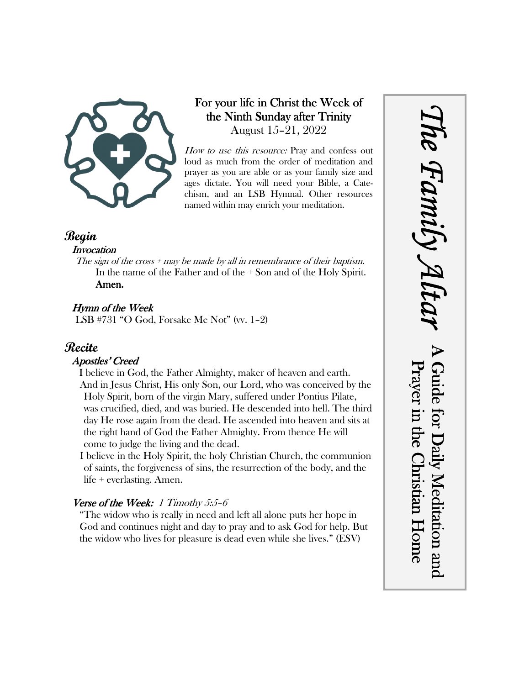

## For your life in Christ the Week of the Ninth Sunday after Trinity August 15–21, 2022

How to use this resource: Pray and confess out loud as much from the order of meditation and prayer as you are able or as your family size and ages dictate. You will need your Bible, a Catechism, and an LSB Hymnal. Other resources named within may enrich your meditation.

### **Begin**

#### **Invocation**

The sign of the cross  $+$  may be made by all in remembrance of their baptism. In the name of the Father and of the + Son and of the Holy Spirit. Amen.

### Hymn of the Week

LSB #731 "O God, Forsake Me Not" (vv. 1–2)

# **Recite**

#### Apostles' Creed

I believe in God, the Father Almighty, maker of heaven and earth. And in Jesus Christ, His only Son, our Lord, who was conceived by the Holy Spirit, born of the virgin Mary, suffered under Pontius Pilate, was crucified, died, and was buried. He descended into hell. The third day He rose again from the dead. He ascended into heaven and sits at the right hand of God the Father Almighty. From thence He will come to judge the living and the dead.

I believe in the Holy Spirit, the holy Christian Church, the communion of saints, the forgiveness of sins, the resurrection of the body, and the life + everlasting. Amen.

#### Verse of the Week: 1 Timothy  $5.5$ -6

"The widow who is really in need and left all alone puts her hope in God and continues night and day to pray and to ask God for help. But the widow who lives for pleasure is dead even while she lives." (ESV)

*The Family Altar* he Family A A Guide for Daily Meditation and Prayer in the Christian Home Guide for Daily Meditation and Prayer in the Christian Home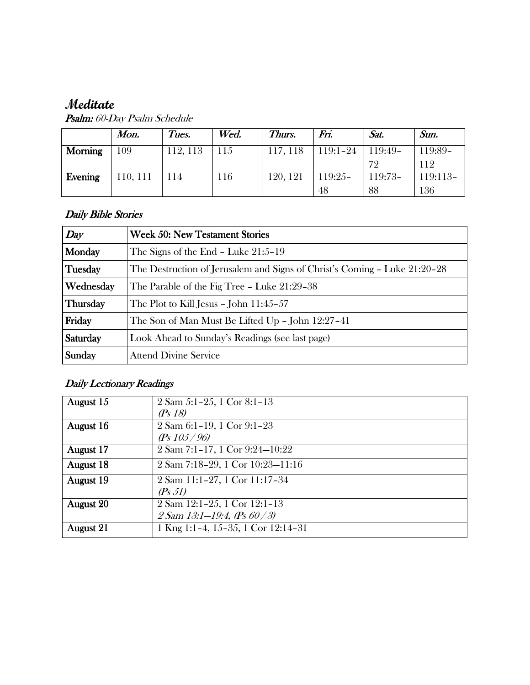# **Meditate**

|                | Mon.    | Tues.    | Wed. | Thurs.   | Fn.          | Sat.    | Sun.     |
|----------------|---------|----------|------|----------|--------------|---------|----------|
| <b>Morning</b> | .09     | 112, 113 | 115  | 117, 118 | $119:1 - 24$ | 119:49- | 119:89-  |
|                |         |          |      |          |              | 72      | 112      |
| Evening        | 10, 111 | 114      | 116  | 120, 121 | $119:25-$    | 119:73- | 119:113- |
|                |         |          |      |          | 48           | 88      | 136      |

Psalm: 60-Day Psalm Schedule

#### Daily Bible Stories

| Day       | <b>Week 50: New Testament Stories</b>                                     |  |  |
|-----------|---------------------------------------------------------------------------|--|--|
| Monday    | The Signs of the End $-$ Luke 21:5–19                                     |  |  |
| Tuesday   | The Destruction of Jerusalem and Signs of Christ's Coming - Luke 21:20-28 |  |  |
| Wednesday | The Parable of the Fig Tree - Luke 21:29-38                               |  |  |
| Thursday  | The Plot to Kill Jesus - John $11:45-57$                                  |  |  |
| Friday    | The Son of Man Must Be Lifted Up - John 12:27-41                          |  |  |
| Saturday  | Look Ahead to Sunday's Readings (see last page)                           |  |  |
| Sunday    | <b>Attend Divine Service</b>                                              |  |  |

# Daily Lectionary Readings

| August 15        | $2$ Sam 5:1-25, 1 Cor 8:1-13         |
|------------------|--------------------------------------|
|                  | (Ps18)                               |
| August 16        | 2 Sam 6:1-19, 1 Cor 9:1-23           |
|                  | (Ps $105/96$ )                       |
| August 17        | 2 Sam 7:1-17, 1 Cor 9:24-10:22       |
| <b>August</b> 18 | 2 Sam 7:18-29, 1 Cor 10:23-11:16     |
| August 19        | 2 Sam 11:1-27, 1 Cor 11:17-34        |
|                  | (Ps 51)                              |
| <b>August 20</b> | 2 Sam 12:1-25, 1 Cor 12:1-13         |
|                  | $2 Sam 13:1 - 19:4, (Ps 60 / 3)$     |
| <b>August 21</b> | 1 Kng 1:1-4, 15-35, 1 Cor $12:14-31$ |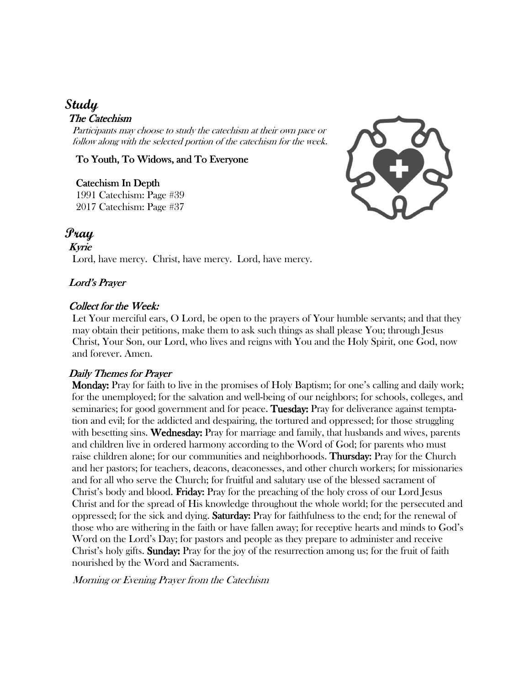# **Study**

#### The Catechism

Participants may choose to study the catechism at their own pace or follow along with the selected portion of the catechism for the week.

#### To Youth, To Widows, and To Everyone

Catechism In Depth 1991 Catechism: Page #39 2017 Catechism: Page #37



# **Pray**

Kyrie Lord, have mercy. Christ, have mercy. Lord, have mercy.

#### Lord's Prayer

#### Collect for the Week:

Let Your merciful ears, O Lord, be open to the prayers of Your humble servants; and that they may obtain their petitions, make them to ask such things as shall please You; through Jesus Christ, Your Son, our Lord, who lives and reigns with You and the Holy Spirit, one God, now and forever. Amen.

#### Daily Themes for Prayer

 Monday: Monday: Pray for faith to live in the promises of Holy Baptism; for one's calling and daily work; for the unemployed; for the salvation and well-being of our neighbors; for schools, colleges, and seminaries; for good government and for peace. Tuesday: Pray for deliverance against temptation and evil; for the addicted and despairing, the tortured and oppressed; for those struggling with besetting sins. Wednesday: Pray for marriage and family, that husbands and wives, parents and children live in ordered harmony according to the Word of God; for parents who must raise children alone; for our communities and neighborhoods. **Thursday:** Pray for the Church and her pastors; for teachers, deacons, deaconesses, and other church workers; for missionaries and for all who serve the Church; for fruitful and salutary use of the blessed sacrament of Christ's body and blood. **Friday:** Pray for the preaching of the holy cross of our Lord Jesus Christ and for the spread of His knowledge throughout the whole world; for the persecuted and oppressed; for the sick and dying. **Saturday:** Pray for faithfulness to the end; for the renewal of those who are withering in the faith or have fallen away; for receptive hearts and minds to God's Word on the Lord's Day; for pastors and people as they prepare to administer and receive Christ's holy gifts. Sunday: Pray for the joy of the resurrection among us; for the fruit of faith nourished by the Word and Sacraments.

Morning or Evening Prayer from the Catechism